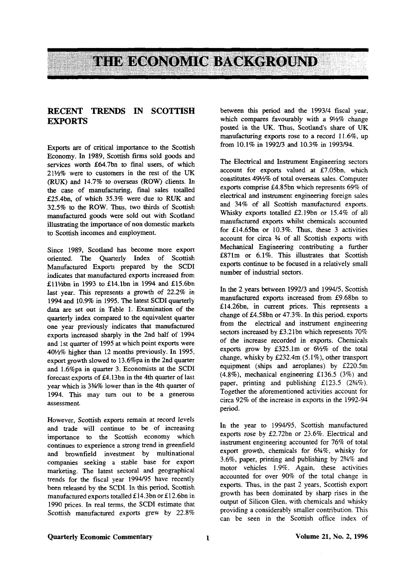

## RECENT TRENDS IN SCOTTISH **EXPORTS**

Exports are of critical importance to the Scottish Economy. In 1989, Scottish firms sold goods and services worth £64.7bn to final users, of which  $21\frac{1}{2}\%$  were to customers in the rest of the UK (RUK) and 14.7% to overseas (ROW) clients. In the case of manufacturing, final sales totalled £25.4bn, of which 35.3% were due to RUK and 32.5% to the ROW. Thus, two thirds of Scottish manufactured goods were sold out with Scotland illustrating the importance of non domestic markets to Scottish incomes and employment.

Since 1989, Scotland has become more export oriented. The Quarterly Index of Scottish Manufactured Exports prepared by the SCDI indicates that manufactured exports increased from £11½bn in 1993 to £14.1bn in 1994 and £15.6bn last year. This represents a growth of 22.2% in 1994 and 10.9% in 1995. The latest SCDI quarterly data are set out in Table 1. Examination of the quarterly index compared to the equivalent quarter one year previously indicates that manufactured exports increased sharply in the 2nd half of 1994 and 1st quarter of 1995 at which point exports were 401/<sub>2</sub>% higher than 12 months previously. In 1995, export growth slowed to 13.6%pa in the 2nd quarter and 1.6%pa in quarter 3. Economists at the SCDI forecast exports of £4.13bn in the 4th quarter of last year which is *3<sup>3</sup>A%* lower than in the 4th quarter of 1994. This may turn out to be a generous assessment.

However, Scottish exports remain at record levels and trade will continue to be of increasing importance to the Scottish economy which continues to experience a strong trend in greenfield and brownfield investment by multinational companies seeking a stable base for export marketing. The latest sectoral and geographical trends for the fiscal year 1994/95 have recently been released by the SCDI. In this period, Scottish manufactured exports totalled £14.3bn or £12.6bn in 1990 prices. In real terms, the SCDI estimate that Scottish manufactured exports grew by 22.8%

between this period and the 1993/4 fiscal year, which compares favourably with a 91/2% change posted in the UK. Thus, Scotland's share of UK manufacturing exports rose to a record 11.6%, up from 10.1% in 1992/3 and 10.3% in 1993/94.

The Electrical and Instrument Engineering sectors account for exports valued at £7.05bn, which constitutes 49V4% of total overseas sales. Computer exports comprise £4.85bn which represents 69% of electrical and instrument engineering foreign sales and 34% of all Scottish manufactured exports. Whisky exports totalled £2.19bn or 15.4% of all manufactured exports whilst chemicals accounted for £14.65bn or 10.3%. Thus, these 3 activities account for circa % of all Scottish exports with Mechanical Engineering contributing a further £871m or 6.1%. This illustrates that Scottish exports continue to be focused in a relatively small number of industrial sectors.

In the 2 years between 1992/3 and 1994/5, Scottish manufactured exports increased from £9.68bn to £14.26bn, in current prices. This represents a change of £4.58bn or 47.3%. In this period, exports from the electrical and instrument engineering sectors increased by £3.21bn which represents  $70\%$ of the increase recorded in exports. Chemicals exports grow by £325.1m or  $6\frac{1}{2}\%$  of the total change, whisky by £232.4m (5.1%), other transport equipment (ships and aeroplanes) by £220.5m (4.8%), mechanical engineering £136.5 (3%) and paper, printing and publishing £123.5 (2%%). Together the aforementioned activities account for circa 92% of the increase in exports in the 1992-94 period.

In the year to 1994/95, Scottish manufactured exports rose by £2.72bn or 23.6%. Electrical and instrument engineering accounted for 76% of total export growth, chemicals for 6%%, whisky for 3.6%, paper, printing and publishing by 2%% and motor vehicles 1.9%. Again, these activities accounted for over 90% of the total change in exports. Thus, in the past 2 years, Scottish export growth has been dominated by sharp rises in the output of Silicon Glen, with chemicals and whisky providing a considerably smaller contribution. This can be seen in the Scottish office index of

#### Quarterly Economic Commentary 1 1 and Volume 21, No. 2, 1996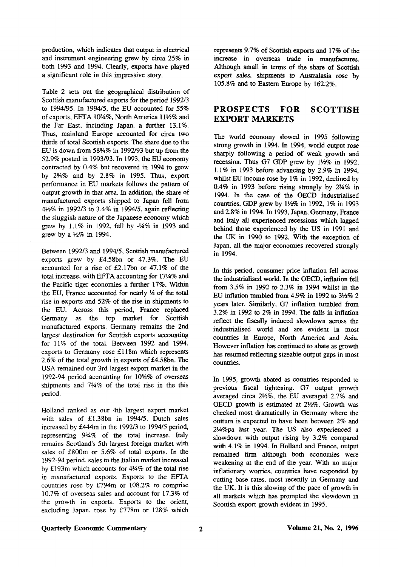production, which indicates that output in electrical and instrument engineering grew by circa 25% in both 1993 and 1994. Clearly, exports have played a significant role in this impressive story.

Table 2 sets out the geographical distribution of Scottish manufactured exports for the period 1992/3 to 1994/95. In 1994/5, the EU accounted for 55% of exports, EFTA 10%%, North America 11%% and the Far East, including Japan, a further 13.1%. Thus, mainland Europe accounted for circa two thirds of total Scottish exports. The share due to the EU is down from 58%% in 1992/93 but up from the 52.9% posted in 1993/93. In 1993, the EU economy contracted by 0.4% but recovered in 1994 to grow by 2%% and by 2.8% in 1995. Thus, export performance in EU markets follows the pattern of output growth in that area. In addition, the share of manufactured exports shipped to Japan fell from 4 J /2% in 1992/3 to 3.4% in 1994/5, again reflecting the sluggish nature of the Japanese economy which grew by 1.1% in 1992, fell by -14% in 1993 and grew by a  $\frac{1}{2}\%$  in 1994.

Between 1992/3 and 1994/5, Scottish manufactured exports grew by £4.58bn or 47.3%. The EU accounted for a rise of £2.17bn or 47.1% of the total increase, with EFTA accounting for 17V4% and the Pacific tiger economies a further 17%. Within the EU, France accounted for nearly *V\** of the total rise in exports and 52% of the rise in shipments to the EU. Across this period, France replaced Germany as the top market for Scottish manufactured exports. Germany remains the 2nd largest destination for Scottish exports accounting for 11% of the total. Between 1992 and 1994, exports to Germany rose £118m which represents 2.6% of the total growth in exports of £4.58bn. The USA remained our 3rd largest export market in the 1992-94 period accounting for 10%% of overseas shipments and 7%% of the total rise in the this period.

Holland ranked as our 4th largest export market with sales of £1.38bn in 1994/5. Dutch sales increased by £444m in the 1992/3 to 1994/5 period, representing 9%% of the total increase. Italy remains Scotland's 5th largest foreign market with sales of £800m or 5.6% of total exports. In the 1992-94 period, sales to the Italian market increased by £193m which accounts for 4V4% of the total rise in manufactured exports. Exports to the EFTA countries rose by £794m or 108.2% to comprise 10.7% of overseas sales and account for 17.3% of the growth in exports. Exports to the orient, excluding Japan, rose by £778m or 128% which represents 9.7% of Scottish exports and 17% of the increase in overseas trade in manufactures. Although small in terms of the share of Scottish export sales, shipments to Australasia rose by 105.8% and to Eastern Europe by 162.2%.

# **PROSPECTS FOR SCOTTISH EXPORT MARKETS**

The world economy slowed in 1995 following strong growth in 1994. In 1994, world output rose sharply following a period of weak growth and recession. Thus G7 GDP grew by *\Vi%* in 1992, 1.1% in 1993 before advancing by 2.9% in 1994, whilst EU income rose by 1% in 1992, declined by 0.4% in 1993 before rising strongly by 2%% in 1994. In the case of the OECD industrialised countries, GDP grew by *Wi.%* in 1992, 1% in 1993 and 2.8% in 1994. In 1993, Japan, Germany, France and Italy all experienced recessions which lagged behind those experienced by the US in 1991 and the UK in 1990 to 1992. With the exception of Japan, all the major economies recovered strongly in 1994.

In this period, consumer price inflation fell across the industrialised world. In the OECD, inflation fell from 3.5% in 1992 to 2.3% in 1994 whilst in the EU inflation tumbled from  $4.9\%$  in 1992 to  $3\frac{1}{2}\%$  2 years later. Similarly, G7 inflation tumbled from 3.2% in 1992 to 2% in 1994. The falls in inflation reflect the fiscally induced slowdown across the industrialised world and are evident in most countries in Europe, North America and Asia. However inflation has continued to abate as growth has resumed reflecting sizeable output gaps in most countries.

In 1995, growth abated as countries responded to previous fiscal tightening. G7 output growth averaged circa 21/2%, the EU averaged 2.7% and OECD growth is estimated at 2½%. Growth was checked most dramatically in Germany where the outturn is expected to have been between 2% and 2W%pa last year. The US also experienced a slowdown with output rising by 3.2% compared with 4.1% in 1994. In Holland and France, output remained firm although both economies were weakening at the end of the year. With no major inflationary worries, countries have responded by cutting base rates, most recently in Germany and the UK. It is this slowing of the pace of growth in all markets which has prompted the slowdown in Scottish export growth evident in 1995.

#### **Quarterly Economic Commentary Volume 21, No. 2,1996**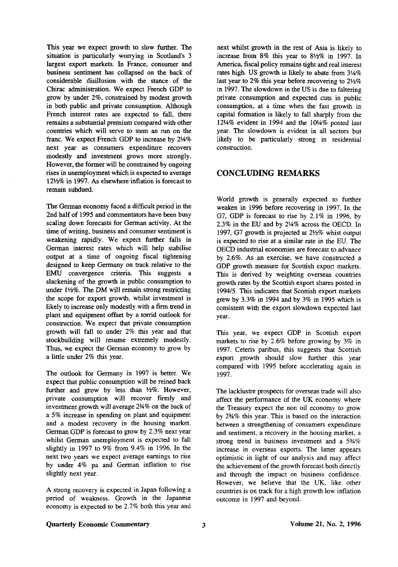This year we expect growth to slow further. The situation is particularly worrying in Scotland's 3 largest export markets. In France, consumer and business sentiment has collapsed on the back of considerable disillusion with the stance of the Chirac administration. We expect French GDP to grow by under 2%, constrained by modest growth in both public and private consumption. Although French interest rates are expected to fall, there remains a substantial premium compared with other countries which will serve to stem an run on the franc. We expect French GDP to increase by 2<sup>1/4</sup>% next year as consumers expenditure recovers modestly and investment grows more strongly. However, the former will be constrained by ongoing rises in unemployment which is expected to average 12V2% in 1997. As elsewhere inflation is forecast to remain subdued.

The German economy faced a difficult period in the 2nd half of 1995 and commentators have been busy scaling down forecasts for German activity. At the time of writing, business and consumer sentiment is weakening rapidly. We expect further falls in German interest rates which will help stabilise output at a time of ongoing fiscal tightening designed to keep Germany on track relative to the EMU convergence criteria. This suggests a slackening of the growth in public consumption to under  $1\frac{1}{2}\%$ . The DM will remain strong restricting the scope for export growth, whilst investment is likely to increase only modestly with a firm trend in plant and equipment offset by a torrid outlook for construction. We expect that private consumption growth will fall to under 2% this year and that stockbuilding will resume extremely modestly. Thus, we expect the German economy to grow by a little under 2% this year.

The outlook for Germany in 1997 is better. We expect that public consumption will be reined back further and grow by less than  $\frac{1}{2}\%$ . However, private consumption will recover firmly and investment growth will average *2<sup>l</sup>A%* on the back of a 5% increase in spending on plant and equipment and a modest recovery in the housing market. German GDP is forecast to grow by 2.3% next year whilst German unemployment is expected to fall slightly in 1997 to 9% from 9.4% in 1996. In the next two years we expect average earnings to rise by under 4% pa and German inflation to rise slightly next year.

A strong recovery is expected in Japan following a period of weakness. Growth in the Japanese economy is expected to be 2.7% both this year and

next whilst growth in the rest of Asia is likely to increase from 8% this year to *%Vi%* in 1997. In America, fiscal policy remains tight and real interest rates high. US growth is likely to abate from  $3\frac{1}{4}\%$ last year to 2% this year before recovering to  $2\frac{1}{2}\%$ in 1997. The slowdown in the US is due to faltering private consumption and expected cuts in public consumption, at a time when the fast growth in capital formation is likely to fall sharply from the 12 $4\%$  evident in 1994 and the 10 $4\%$  posted last year. The slowdown is evident in all sectors but likely to be particularly strong in residential construction.

## CONCLUDING REMARKS

World growth is generally expected to further weaken in 1996 before recovering in 1997. In the G7, GDP is forecast to rise by 2.1% in 1996, by 2.3% in the EU and by 2¼% across the OECD. In 1997, G7 growth is projected at  $2\frac{1}{2}\%$  whist output is expected to rise at a similar rate in the EU. The OECD industrial economies are forecast to advance by 2.6%. As an exercise, we have constructed a GDP growth measure for Scottish export markets. This is derived by weighting overseas countries growth rates by the Scottish export shares posted in 1994/5. This indicates that Scottish export markets grew by 3.3% in 1994 and by 3% in 1995 which is consistent with the export slowdown expected last year.

This year, we expect GDP in Scottish export markets to rise by 2.6% before growing by 3% in 1997. Ceteris paribus, this suggests that Scottish export growth should slow further this year compared with 1995 before accelerating again in 1997.

The lacklustre prospects for overseas trade will also affect the performance of the UK economy where the Treasury expect the non oil economy to grow by 234% this year. This is based on the interaction between a strengthening of consumers expenditure and sentiment, a recovery in the housing market, a strong trend in business investment and a 5%% increase in overseas exports. The latter appears optimistic in light of our analysis and may affect the achievement of the growth forecast both directly and through the impact on business confidence. However, we believe that the UK, like other countries is on track for a high growth low inflation outcome in 1997 and beyond.

#### **Quarterly Economic Commentary**  3 3 Volume 21, No. 2, 1996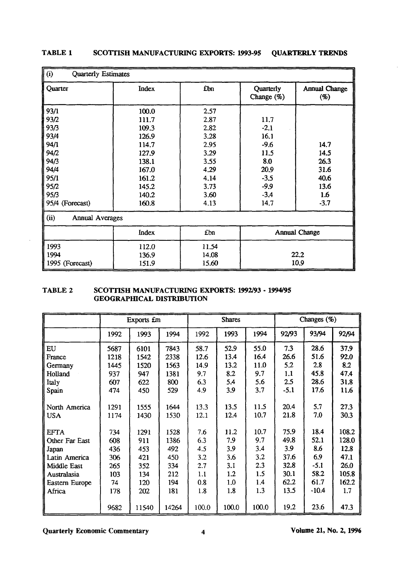| (i)<br>Quarterly Estimates     |       |       |                         |                      |  |  |  |  |
|--------------------------------|-------|-------|-------------------------|----------------------|--|--|--|--|
| Quarter                        | Index | £bn   | Quarterly<br>Change (%) | Annual Change<br>(%) |  |  |  |  |
| 93/1                           | 100.0 | 2.57  |                         |                      |  |  |  |  |
| 93/2                           | 111.7 | 2.87  | 11.7                    |                      |  |  |  |  |
| 93/3                           | 109.3 | 2.82  | $-2.1$                  |                      |  |  |  |  |
| 93/4                           | 126.9 | 3.28  | 16.1                    |                      |  |  |  |  |
| 94/1                           | 114.7 | 2.95  | $-9.6$                  | 14.7                 |  |  |  |  |
| 94/2                           | 127.9 | 3.29  | 11.5                    | 14.5                 |  |  |  |  |
| 94/3                           | 138.1 | 3.55  | 8.0                     | 26.3                 |  |  |  |  |
| 94/4                           | 167.0 | 4.29  | 20.9                    | 31.6                 |  |  |  |  |
| 95/1                           | 161.2 | 4.14  | $-3.5$                  | 40.6                 |  |  |  |  |
| 95/2                           | 145.2 | 3.73  | $-9.9$                  | 13.6                 |  |  |  |  |
| 95/3                           | 140.2 | 3.60  | $-3.4$                  | 1.6                  |  |  |  |  |
| 95/4 (Forecast)                | 160.8 | 4.13  | 14.7                    | $-3.7$               |  |  |  |  |
| (ii)<br><b>Annual Averages</b> |       |       |                         |                      |  |  |  |  |
|                                | Index | £bn   | <b>Annual Change</b>    |                      |  |  |  |  |
| 1993                           | 112.0 | 11.54 |                         |                      |  |  |  |  |
| 1994                           | 136.9 | 14.08 | 22.2                    |                      |  |  |  |  |
| 1995 (Forecast)                | 151.9 | 15.60 |                         | 10.9                 |  |  |  |  |

# **TABLE 1 SCOTTISH MANUFACTURING EXPORTS: 1993-95 QUARTERLY TRENDS**

### **TABLE 2 SCOTTISH MANUFACTURING EXPORTS: 1992/93 - 1994/95 GEOGRAPHICAL DISTRIBUTION**

|                | Exports <i>fm</i> |       |       | <b>Shares</b> |       |       | Changes (%) |         |       |
|----------------|-------------------|-------|-------|---------------|-------|-------|-------------|---------|-------|
|                | 1992              | 1993  | 1994  | 1992          | 1993  | 1994  | 92/93       | 93/94   | 92/94 |
| EU             | 5687              | 6101  | 7843  | 58.7          | 52.9  | 55.0  | 7.3         | 28.6    | 37.9  |
| France         | 1218              | 1542  | 2338  | 12.6          | 13.4  | 16.4  | 26.6        | 51.6    | 92.0  |
| Germany        | 1445              | 1520  | 1563  | 14.9          | 13.2  | 11.0  | 5.2         | 2.8     | 8.2   |
| Holland        | 937               | 947   | 1381  | 9.7           | 8.2   | 9.7   | 1.1         | 45.8    | 47.4  |
| Italy          | 607               | 622   | 800   | 6.3           | 5.4   | 5.6   | 2.5         | 28.6    | 31.8  |
| Spain          | 474               | 450   | 529   | 4.9           | 3.9   | 3.7   | $-5.1$      | 17.6    | 11.6  |
|                |                   |       |       |               |       |       |             |         |       |
| North America  | 1291              | 1555  | 1644  | 13.3          | 13.5  | 11.5  | 20.4        | 5.7     | 27.3  |
| <b>USA</b>     | 1174              | 1430  | 1530  | 12.1          | 12.4  | 10.7  | 21.8        | 7.0     | 30.3  |
|                |                   |       |       |               |       |       |             |         |       |
| <b>EFTA</b>    | 734               | 1291  | 1528  | 7.6           | 11.2  | 10.7  | 75.9        | 18.4    | 108.2 |
| Other Far East | 608               | 911   | 1386  | 6.3           | 7.9   | 9.7   | 49.8        | 52.1    | 128.0 |
| Japan          | 436               | 453   | 492   | 4.5           | 3.9   | 3.4   | 3.9         | 8.6     | 12.8  |
| Latin America  | 306               | 421   | 450   | 3.2           | 3.6   | 3.2   | 37.6        | 6.9     | 47.1  |
| Middle East    | 265               | 352   | 334   | 2.7           | 3.1   | 2.3   | 32.8        | $-5.1$  | 26.0  |
| Australasia    | 103               | 134   | 212   | 1.1           | 1.2   | 1.5   | 30.1        | 58.2    | 105.8 |
| Eastern Europe | 74                | 120   | 194   | 0.8           | 1.0   | 1.4   | 62.2        | 61.7    | 162.2 |
| Africa         | 178               | 202   | 181   | 1.8           | 1.8   | 1.3   | 13.5        | $-10.4$ | 1.7   |
|                |                   |       |       |               |       |       |             |         |       |
|                | 9682              | 11540 | 14264 | 100.0         | 100.0 | 100.0 | 19.2        | 23.6    | 47.3  |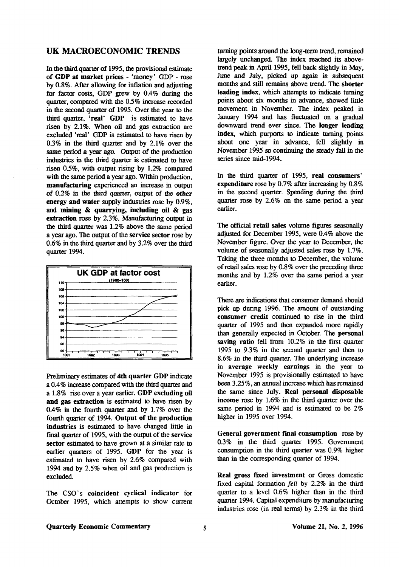### **UK MACROECONOMIC TRENDS**

In the third quarter of 1995, the provisional estimate of **GDP at market prices** - 'money' GDP - rose by 0.8%. After allowing for inflation and adjusting for factor costs, GDP grew by 0.4% during the quarter, compared with the 0.5% increase recorded in the second quarter of 1995. Over the year to the third quarter, **'real' GDP** is estimated to have risen by 2.1%. When oil and gas extraction are excluded 'real' GDP is estimated to have risen by 0.3% in the third quarter and by 2.1% over the same period a year ago. Output of the production industries in the third quarter is estimated to have risen 0.5%, with output rising by 1.2% compared with the same period a year ago. Within production, **manufacturing** experienced an increase in output of 0.2% in the third quarter, output of the **other energy and water** supply industries rose by 0.9%, and **mining & quarrying, including oil & gas extraction** rose by 2.3%. Manufacturing output in the third quarter was 1.2% above the same period a year ago. The output of the service sector rose by 0.6% in the third quarter and by 3.2% over the third quarter 1994.



Preliminary estimates of **4th quarter GDP** indicate a 0.4% increase compared with the diird quarter and a 1.8% rise over a year earlier. **GDP excluding oil and gas extraction** is estimated to have risen by 0.4% in the fourth quarter and by 1.7% over the fourth quarter of 1994. **Output of the production industries** is estimated to have changed little in final quarter of 1995, with the output of the service **sector** estimated to have grown at a similar rate to earlier quarters of 1995. **GDP** for the year is estimated to have risen by 2.6% compared with 1994 and by 2.5% when oil and gas production is excluded.

The CSO's **coincident** cyclical **indicator** for October 1995, which attempts to show current turning points around the long-term trend, remained largely unchanged. The index reached its abovetrend peak in April 1995, fell back slightly in May, June and July, picked up again in subsequent months and still remains above trend. The **shorter leading index,** which attempts to indicate turning points about six months in advance, showed little movement in November. The index peaked in January 1994 and has fluctuated on a gradual downward trend ever since. The **longer leading index,** which purports to indicate turning points about one year in advance, fell slighdy in November 1995 so continuing the steady fall in the series since mid-1994.

In die third quarter of 1995, **real consumers' expenditure** rose by 0.7% after increasing by 0.8% in the second quarter. Spending during die third quarter rose by 2.6% on the same period a year earlier.

The official **retail sales** volume figures seasonally adjusted for December 1995, were 0.4% above the November figure. Over the year to December, the volume of seasonally adjusted sales rose by 1.7%. Taking the three months to December, the volume of retail sales rose by 0.8% over die preceding three months and by 1.2% over the same period a year earlier.

There are indications that consumer demand should pick up during 1996. The amount of outstanding **consumer credit** continued to rise in the third quarter of 1995 and then expanded more rapidly than generally expected in October. The **personal saving ratio** fell from 10.2% in the first quarter 1995 to 9.3% in the second quarter and then to 8.6% in the third quarter. The underlying increase in **average weekly earnings** in die year to November 1995 is provisionally estimated to have been 3.25%, an annual increase which has remained the same since July. **Real personal disposable**  income rose by 1.6% in the third quarter over the same period in 1994 and is estimated to be 2% higher in 1995 over 1994.

**General government final consumption** rose by 0.3% in the third quarter 1995. Government consumption in the third quarter was  $0.9\%$  higher than in die corresponding quarter of 1994.

Real gross **fixed investment** or Gross domestic fixed capital formation *fell* by 2.2% in the third quarter to a level 0.6% higher than in the third quarter 1994. Capital expenditure by manufacturing industries rose (in real terms) by 2.3% in die third

#### **Quarterly Economic Commentary Volume 21, No. 2, 1996**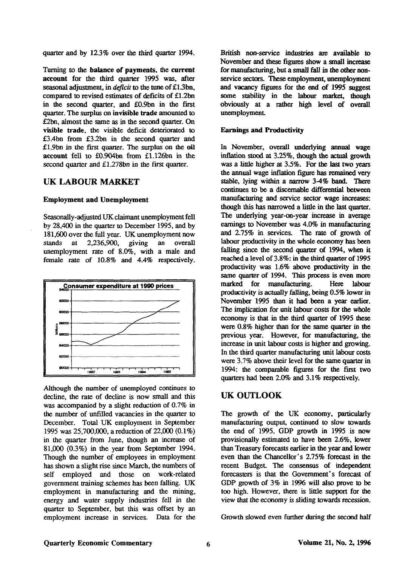quarter and by 12.3% over the third quarter 1994.

Turning to the **balance of payments,** the **current account** for the third quarter 1995 was, after seasonal adjustment, in *deficit* to the tune of £1.3bn, compared to revised estimates of deficits of £1.2bn in the second quarter, and £0.9bn in the first quarter. The surplus on **invisible trade** amounted to £2bn, almost the same as in the second quarter. On **visible trade,** the visible deficit deteriorated to £3.4bn from £3.2bn in the second quarter and £1.9bn in the first quarter. The surplus on the **oil account** fell to £0.904bn from £1.126bn in the second quarter and £1.278bn in the first quarter.

### **UK LABOUR MARKET**

#### **Employment and Unemployment**

Seasonally-adjusted UK claimant unemployment fell by 28,400 in the quarter to December 1995, and by 181,600 over die full year. UK unemployment now stands at 2,236,900, giving an overall unemployment rate of 8.0%, with a male and female rate of 10.8% and 4.4% respectively.



Although the number of unemployed continues to decline, the rate of decline is now small and this was accompanied by a slight reduction of 0.7% in the number of unfilled vacancies in the quarter to December. Total UK employment in September 1995 was 25,700,000, a reduction of 22,000 (0.1%) in the quarter from June, though an increase of 81,000 (0.3%) in the year from September 1994. Though the number of employees in employment has shown a slight rise since March, the numbers of self employed and those on work-related government training schemes has been falling. UK employment in manufacturing and die mining, energy and water supply industries fell in the quarter to September, but this was offset by an employment increase in services. Data for the

British non-service industries are available to November and these figures show a small increase for manufacturing, but a small fall in the other nonservice sectors. These employment, unemployment and vacancy figures for the end of 1995 suggest some stability in die labour market, though obviously at a rather high level of overall unemployment

### **Earnings and Productivity**

In November, overall underlying annual wage inflation stood at 3.25%, though the actual growth was a little higher at 3.5%. For the last two years the annual wage inflation figure has remained very stable, lying within a narrow 3-4% band. There continues to be a discemable differential between manufacturing and service sector wage increases: though this has narrowed a little in die last quarter. The underlying year-on-year increase in average earnings to November was 4.0% in manufacturing and 2.75% in services. The rate of growth of labour productivity in the whole economy has been falling since the second quarter of 1994, when it reached a level of 3.8%: in the third quarter of 1995 productivity was 1.6% above productivity in the same quarter of 1994. This process is even more marked for manufacturing. Here labour productivity is actually falling, being 0.5% lower in November 1995 than it had been a year earlier. The implication for unit labour costs for the whole economy is that in the third quarter of 1995 these were 0.8% higher than for the same quarter in the previous year. However, for manufacturing, die increase in unit labour costs is higher and growing. In die third quarter manufacturing unit labour costs were 3.7% above their level for the same quarter in 1994: die comparable figures for the first two quarters had been 2.0% and 3.1% respectively.

# **UK OUTLOOK**

The growth of the UK economy, particularly manufacturing output, continued to slow towards the end of 1995. GDP growth in 1995 is now provisionally estimated to have been 2.6%, lower than Treasury forecasts earlier in the year and lower even than die Chancellor's 2.75% forecast in the recent Budget The consensus of independent forecasters is that the Government's forecast of GDP growth of 3% in 1996 will also prove to be too high. However, there is litde support for the view diat die economy is sliding towards recession.

Growth slowed even further during the second half